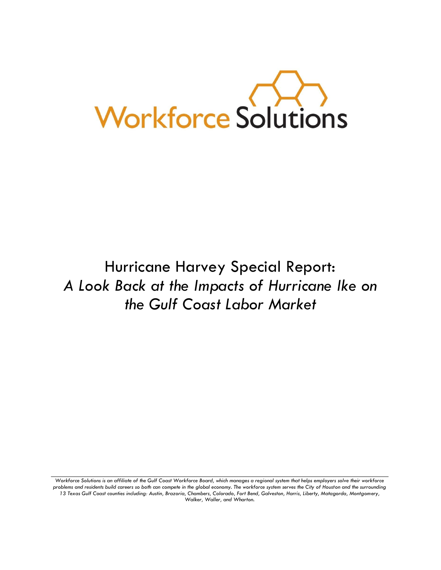

Hurricane Harvey Special Report: *A Look Back at the Impacts of Hurricane Ike on the Gulf Coast Labor Market*

*Workforce Solutions is an affiliate of the Gulf Coast Workforce Board, which manages a regional system that helps employers solve their workforce problems and residents build careers so both can compete in the global economy. The workforce system serves the City of Houston and the surrounding 13 Texas Gulf Coast counties including: Austin, Brazoria, Chambers, Colorado, Fort Bend, Galveston, Harris, Liberty, Matagorda, Montgomery, Walker, Waller, and Wharton.*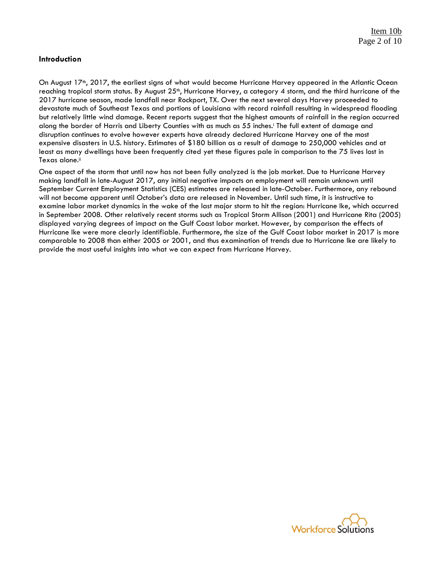# **Introduction**

On August 17<sup>th</sup>, 2017, the earliest signs of what would become Hurricane Harvey appeared in the Atlantic Ocean reaching tropical storm status. By August 25<sup>th</sup>, Hurricane Harvey, a category 4 storm, and the third hurricane of the 2017 hurricane season, made landfall near Rockport, TX. Over the next several days Harvey proceeded to devastate much of Southeast Texas and portions of Louisiana with record rainfall resulting in widespread flooding but relatively little wind damage. Recent reports suggest that the highest amounts of rainfall in the region occurred along the border of Harris and Liberty Counties with as much as 55 inches.<sup>1</sup> The full extent of damage and disruption continues to evolve however experts have already declared Hurricane Harvey one of the most expensive disasters in U.S. history. Estimates of \$180 billion as a result of damage to 250,000 vehicles and at least as many dwellings have been frequently cited yet these figures pale in comparison to the 75 lives lost in Texas alone.ii

One aspect of the storm that until now has not been fully analyzed is the job market. Due to Hurricane Harvey making landfall in late-August 2017, any initial negative impacts on employment will remain unknown until September Current Employment Statistics (CES) estimates are released in late-October. Furthermore, any rebound will not become apparent until October's data are released in November. Until such time, it is instructive to examine labor market dynamics in the wake of the last major storm to hit the region: Hurricane Ike, which occurred in September 2008. Other relatively recent storms such as Tropical Storm Allison (2001) and Hurricane Rita (2005) displayed varying degrees of impact on the Gulf Coast labor market. However, by comparison the effects of Hurricane Ike were more clearly identifiable. Furthermore, the size of the Gulf Coast labor market in 2017 is more comparable to 2008 than either 2005 or 2001, and thus examination of trends due to Hurricane Ike are likely to provide the most useful insights into what we can expect from Hurricane Harvey.

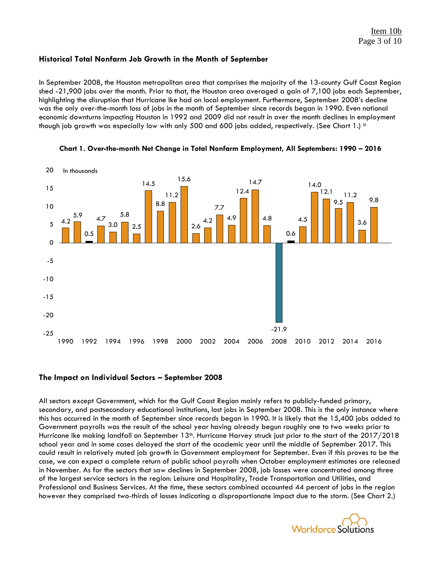# **Historical Total Nonfarm Job Growth in the Month of September**

In September 2008, the Houston metropolitan area that comprises the majority of the 13-county Gulf Coast Region shed -21,900 jobs over the month. Prior to that, the Houston area averaged a gain of 7,100 jobs each September, highlighting the disruption that Hurricane Ike had on local employment. Furthermore, September 2008's decline was the only over-the-month loss of jobs in the month of September since records began in 1990. Even national economic downturns impacting Houston in 1992 and 2009 did not result in over the month declines in employment though job growth was especially low with only 500 and 600 jobs added, respectively. (See Chart 1.) iii





### **The Impact on Individual Sectors – September 2008**

All sectors except Government, which for the Gulf Coast Region mainly refers to publicly-funded primary, secondary, and postsecondary educational institutions, lost jobs in September 2008. This is the only instance where this has occurred in the month of September since records began in 1990. It is likely that the 15,400 jobs added to Government payrolls was the result of the school year having already begun roughly one to two weeks prior to Hurricane Ike making landfall on September 13th. Hurricane Harvey struck just prior to the start of the 2017/2018 school year and in some cases delayed the start of the academic year until the middle of September 2017. This could result in relatively muted job growth in Government employment for September. Even if this proves to be the case, we can expect a complete return of public school payrolls when October employment estimates are released in November. As for the sectors that saw declines in September 2008, job losses were concentrated among three of the largest service sectors in the region: Leisure and Hospitality, Trade Transportation and Utilities, and Professional and Business Services. At the time, these sectors combined accounted 44 percent of jobs in the region however they comprised two-thirds of losses indicating a disproportionate impact due to the storm. (See Chart 2.)

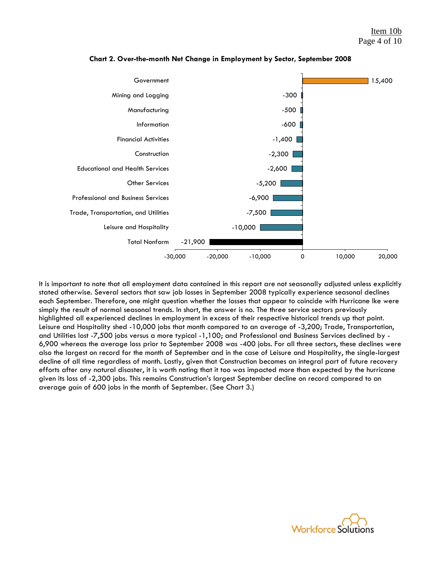

**Chart 2. Over-the-month Net Change in Employment by Sector, September 2008**

It is important to note that all employment data contained in this report are not seasonally adjusted unless explicitly stated otherwise. Several sectors that saw job losses in September 2008 typically experience seasonal declines each September. Therefore, one might question whether the losses that appear to coincide with Hurricane Ike were simply the result of normal seasonal trends. In short, the answer is no. The three service sectors previously highlighted all experienced declines in employment in excess of their respective historical trends up that point. Leisure and Hospitality shed -10,000 jobs that month compared to an average of -3,200; Trade, Transportation, and Utilities lost -7,500 jobs versus a more typical -1,100; and Professional and Business Services declined by - 6,900 whereas the average loss prior to September 2008 was -400 jobs. For all three sectors, these declines were also the largest on record for the month of September and in the case of Leisure and Hospitality, the single-largest decline of all time regardless of month. Lastly, given that Construction becomes an integral part of future recovery efforts after any natural disaster, it is worth noting that it too was impacted more than expected by the hurricane given its loss of -2,300 jobs. This remains Construction's largest September decline on record compared to an average *gain* of 600 jobs in the month of September. (See Chart 3.)

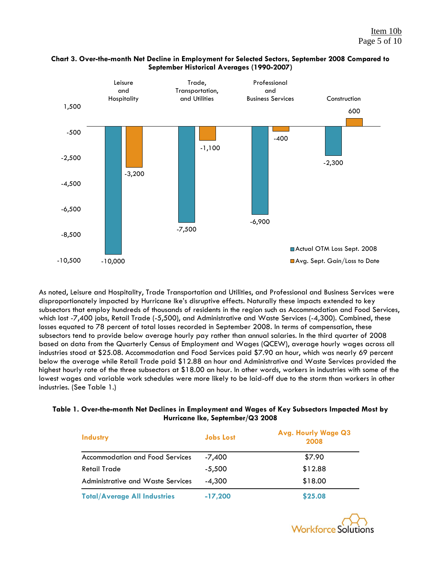

# **Chart 3. Over-the-month Net Decline in Employment for Selected Sectors, September 2008 Compared to September Historical Averages (1990-2007)**

As noted, Leisure and Hospitality, Trade Transportation and Utilities, and Professional and Business Services were disproportionately impacted by Hurricane Ike's disruptive effects. Naturally these impacts extended to key subsectors that employ hundreds of thousands of residents in the region such as Accommodation and Food Services, which lost -7,400 jobs, Retail Trade (-5,500), and Administrative and Waste Services (-4,300). Combined, these losses equated to 78 percent of total losses recorded in September 2008. In terms of compensation, these subsectors tend to provide below average hourly pay rather than annual salaries. In the third quarter of 2008 based on data from the Quarterly Census of Employment and Wages (QCEW), average hourly wages across all industries stood at \$25.08. Accommodation and Food Services paid \$7.90 an hour, which was nearly 69 percent below the average while Retail Trade paid \$12.88 an hour and Administrative and Waste Services provided the highest hourly rate of the three subsectors at \$18.00 an hour. In other words, workers in industries with some of the lowest wages and variable work schedules were more likely to be laid-off due to the storm than workers in other industries. (See Table 1.)

### **Table 1. Over-the-month Net Declines in Employment and Wages of Key Subsectors Impacted Most by Hurricane Ike, September/Q3 2008**

| <b>Industry</b>                        | <b>Jobs Lost</b> | <b>Avg. Hourly Wage Q3</b><br>2008 |
|----------------------------------------|------------------|------------------------------------|
| <b>Accommodation and Food Services</b> | -7,400           | \$7.90                             |
| Retail Trade                           | $-5,500$         | \$12.88                            |
| Administrative and Waste Services      | $-4.300$         | \$18.00                            |
| <b>Total/Average All Industries</b>    | $-17,200$        | \$25.08                            |

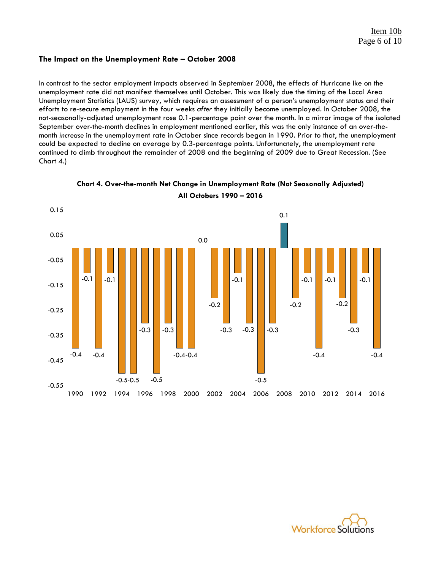# **The Impact on the Unemployment Rate – October 2008**

In contrast to the sector employment impacts observed in September 2008, the effects of Hurricane Ike on the unemployment rate did not manifest themselves until October. This was likely due the timing of the Local Area Unemployment Statistics (LAUS) survey, which requires an assessment of a person's unemployment status and their efforts to re-secure employment in the four weeks *after* they initially become unemployed. In October 2008, the not-seasonally-adjusted unemployment rose 0.1-percentage point over the month. In a mirror image of the isolated September over-the-month declines in employment mentioned earlier, this was the only instance of an over-themonth *increase* in the unemployment rate in October since records began in 1990. Prior to that, the unemployment could be expected to decline on average by 0.3-percentage points. Unfortunately, the unemployment rate continued to climb throughout the remainder of 2008 and the beginning of 2009 due to Great Recession. (See Chart 4.)





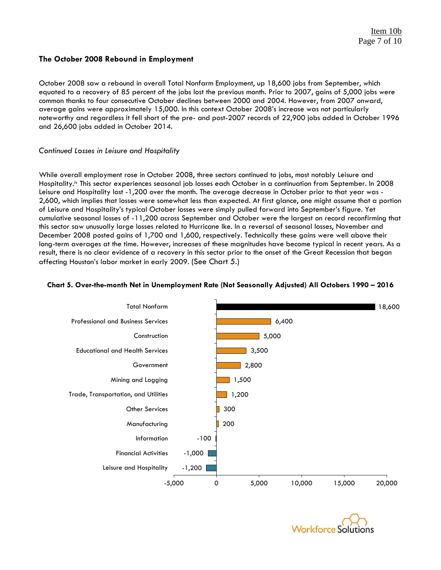# **The October 2008 Rebound in Employment**

October 2008 saw a rebound in overall Total Nonfarm Employment, up 18,600 jobs from September, which equated to a recovery of 85 percent of the jobs lost the previous month. Prior to 2007, gains of 5,000 jobs were common thanks to four consecutive October declines between 2000 and 2004. However, from 2007 onward, average gains were approximately 15,000. In this context October 2008's increase was not particularly noteworthy and regardless it fell short of the pre- and post-2007 records of 22,900 jobs added in October 1996 and 26,600 jobs added in October 2014.

### *Continued Losses in Leisure and Hospitality*

While overall employment rose in October 2008, three sectors continued to jobs, most notably Leisure and Hospitality. iv This sector experiences seasonal job losses each October in a continuation from September. In 2008 Leisure and Hospitality lost -1,200 over the month. The average decrease in October prior to that year was - 2,600, which implies that losses were somewhat less than expected. At first glance, one might assume that a portion of Leisure and Hospitality's typical October losses were simply pulled forward into September's figure. Yet cumulative seasonal losses of -11,200 across September and October were the largest on record reconfirming that this sector saw unusually large losses related to Hurricane Ike. In a reversal of seasonal losses, November and December 2008 posted gains of 1,700 and 1,600, respectively. Technically these gains were well above their long-term averages at the time. However, increases of these magnitudes have become typical in recent years. As a result, there is no clear evidence of a recovery in this sector prior to the onset of the Great Recession that began affecting Houston's labor market in early 2009. (See Chart 5.)



#### **Chart 5. Over-the-month Net in Unemployment Rate (Not Seasonally Adjusted) All Octobers 1990 – 2016**

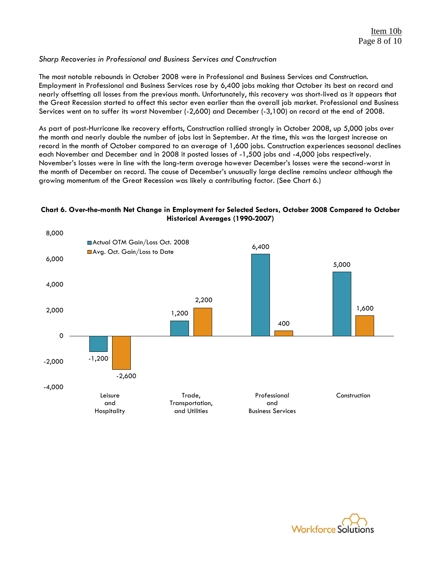# *Sharp Recoveries in Professional and Business Services and Construction*

The most notable rebounds in October 2008 were in Professional and Business Services and Construction. Employment in Professional and Business Services rose by 6,400 jobs making that October its best on record and nearly offsetting all losses from the previous month. Unfortunately, this recovery was short-lived as it appears that the Great Recession started to affect this sector even earlier than the overall job market. Professional and Business Services went on to suffer its worst November (-2,600) and December (-3,100) on record at the end of 2008.

As part of post-Hurricane Ike recovery efforts, Construction rallied strongly in October 2008, up 5,000 jobs over the month and nearly double the number of jobs lost in September. At the time, this was the largest increase on record in the month of October compared to an average of 1,600 jobs. Construction experiences seasonal declines each November and December and in 2008 it posted losses of -1,500 jobs and -4,000 jobs respectively. November's losses were in line with the long-term average however December's losses were the second-worst in the month of December on record. The cause of December's unusually large decline remains unclear although the growing momentum of the Great Recession was likely a contributing factor. (See Chart 6.)



#### **Chart 6. Over-the-month Net Change in Employment for Selected Sectors, October 2008 Compared to October Historical Averages (1990-2007)**

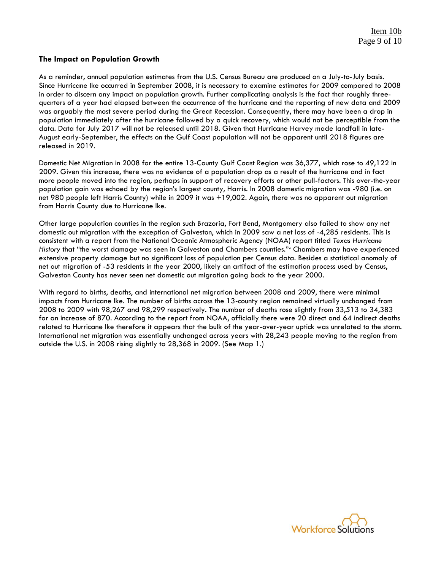#### **The Impact on Population Growth**

As a reminder, annual population estimates from the U.S. Census Bureau are produced on a July-to-July basis. Since Hurricane Ike occurred in September 2008, it is necessary to examine estimates for 2009 compared to 2008 in order to discern any impact on population growth. Further complicating analysis is the fact that roughly threequarters of a year had elapsed between the occurrence of the hurricane and the reporting of new data and 2009 was arguably the most severe period during the Great Recession. Consequently, there may have been a drop in population immediately after the hurricane followed by a quick recovery, which would not be perceptible from the data. Data for July 2017 will not be released until 2018. Given that Hurricane Harvey made landfall in late-August early-September, the effects on the Gulf Coast population will not be apparent until 2018 figures are released in 2019.

Domestic Net Migration in 2008 for the entire 13-County Gulf Coast Region was 36,377, which rose to 49,122 in 2009. Given this increase, there was no evidence of a population drop as a result of the hurricane and in fact more people moved into the region, perhaps in support of recovery efforts or other pull-factors. This over-the-year population gain was echoed by the region's largest county, Harris. In 2008 domestic migration was -980 (i.e. on net 980 people left Harris County) while in 2009 it was +19,002. Again, there was no apparent out migration from Harris County due to Hurricane Ike.

Other large population counties in the region such Brazoria, Fort Bend, Montgomery also failed to show any net domestic out migration with the exception of Galveston, which in 2009 saw a net loss of -4,285 residents. This is consistent with a report from the National Oceanic Atmospheric Agency (NOAA) report titled *Texas Hurricane History* that "the worst damage was seen in Galveston and Chambers counties."<sup>v</sup> Chambers may have experienced extensive property damage but no significant loss of population per Census data. Besides a statistical anomaly of net out migration of -53 residents in the year 2000, likely an artifact of the estimation process used by Census, Galveston County has never seen net domestic out migration going back to the year 2000.

With regard to births, deaths, and international net migration between 2008 and 2009, there were minimal impacts from Hurricane Ike. The number of births across the 13-county region remained virtually unchanged from 2008 to 2009 with 98,267 and 98,299 respectively. The number of deaths rose slightly from 33,513 to 34,383 for an increase of 870. According to the report from NOAA, officially there were 20 direct and 64 indirect deaths related to Hurricane Ike therefore it appears that the bulk of the year-over-year uptick was unrelated to the storm. International net migration was essentially unchanged across years with 28,243 people moving to the region from outside the U.S. in 2008 rising slightly to 28,368 in 2009. (See Map 1.)